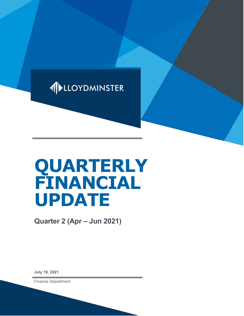

# QUARTERLY FINANCIAL UPDATE

Quarter 2 (Apr – Jun 2021)

July 19, 2021

Finance Department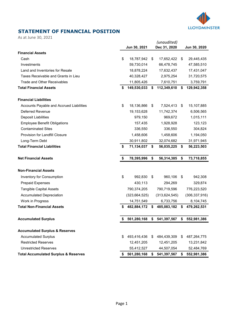

## STATEMENT OF FINANCIAL POSITION

As at June 30, 2021

|                                                 | Jun 30, 2021      |    | (unaudited)<br>Dec 31, 2020 |      | Jun 30, 2020    |
|-------------------------------------------------|-------------------|----|-----------------------------|------|-----------------|
| <b>Financial Assets</b>                         |                   |    |                             |      |                 |
| Cash                                            | \$<br>18,787,942  | \$ | 17,652,422                  | \$   | 29,445,435      |
| Investments                                     | 59,730,014        |    | 66,478,745                  |      | 47,585,510      |
| Land and Inventories for Resale                 | 18,878,224        |    | 17,632,437                  |      | 17,431,047      |
| Taxes Receivable and Grants in Lieu             | 40,328,427        |    | 2,975,254                   |      | 31,720,575      |
| <b>Trade and Other Receivables</b>              | 11,805,426        |    | 7,610,751                   |      | 3,759,791       |
| <b>Total Financial Assets</b>                   | \$<br>149,530,033 | \$ | 112,349,610                 | \$   | 129,942,358     |
| <b>Financial Liabilities</b>                    |                   |    |                             |      |                 |
| Accounts Payable and Accrued Liabilities        | \$<br>18,136,866  | \$ | 7,524,413                   | - \$ | 15,107,885      |
| <b>Deferred Revenue</b>                         | 19,153,628        |    | 11,742,374                  |      | 6,506,565       |
| <b>Deposit Liabilities</b>                      | 979,150           |    | 969,672                     |      | 1,015,111       |
| <b>Employee Benefit Obligations</b>             | 157,435           |    | 1,928,928                   |      | 123,123         |
| <b>Contaminated Sites</b>                       | 336,550           |    | 336,550                     |      | 304,824         |
| <b>Provision for Landfill Closure</b>           | 1,458,606         |    | 1,458,606                   |      | 1,194,050       |
| Long-Term Debt                                  | 30,911,802        |    | 32,074,682                  |      | 31,971,945      |
| <b>Total Financial Liabilities</b>              | \$<br>71,134,037  | \$ | 56,035,225                  | - \$ | 56,223,503      |
| <b>Net Financial Assets</b>                     | \$<br>78,395,996  | \$ | 56,314,385                  | \$   | 73,718,855      |
| <b>Non-Financial Assets</b>                     |                   |    |                             |      |                 |
| Inventory for Consumption                       | \$<br>992,830     | \$ | 960,106                     | \$   | 942,308         |
| <b>Prepaid Expenses</b>                         | 430,113           |    | 294,269                     |      | 329,874         |
| <b>Tangible Capital Assets</b>                  | 790,374,205       |    | 790,719,596                 |      | 776,223,520     |
| <b>Accumulated Depreciation</b>                 | (323, 664, 525)   |    | (313, 624, 545)             |      | (306, 337, 916) |
| Work in Progress                                | 14,751,549        |    | 6,733,756                   |      | 8,104,745       |
| <b>Total Non-Financial Assets</b>               | 482,884,172       | \$ | 485,083,182                 | \$   | 479,262,531     |
| <b>Accumulated Surplus</b>                      | 561,280,168       |    | \$ 541,397,567              |      | \$ 552,981,386  |
|                                                 |                   |    |                             |      |                 |
| <b>Accumulated Surplus &amp; Reserves</b>       |                   |    |                             |      |                 |
| <b>Accumulated Surplus</b>                      | \$<br>493,416,436 | \$ | 484,439,309                 | \$   | 487,264,775     |
| <b>Restricted Reserves</b>                      | 12,451,205        |    | 12,451,205                  |      | 13,231,842      |
| <b>Unrestricted Reserves</b>                    | 55,412,527        |    | 44,507,054                  |      | 52,484,769      |
| <b>Total Accumulated Surplus &amp; Reserves</b> | \$561,280,168     | S. | 541,397,567                 | \$   | 552,981,386     |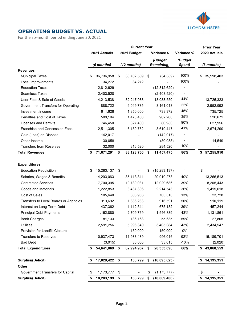

#### OPERATING BUDGET VS. ACTUAL

For the six-month period ending June 30, 2021

|                                           |    |              |      | <b>Current Year</b> |                              |                   |     | <b>Prior Year</b> |
|-------------------------------------------|----|--------------|------|---------------------|------------------------------|-------------------|-----|-------------------|
|                                           |    | 2021 Actuals |      | 2021 Budget         | Variance \$                  | Variance %        |     | 2020 Actuals      |
|                                           |    | (6 months)   |      | $(12$ months)       | (Budget<br><b>Remaining)</b> | (Budget<br>Spent) |     | (6 months)        |
| <b>Revenues</b>                           |    |              |      |                     |                              |                   |     |                   |
| <b>Municipal Taxes</b>                    | \$ | 36,736,958   | \$   | 36,702,569          | \$<br>(34, 389)              | 100%              | \$. | 35,998,403        |
| Local Improvements                        |    | 34,272       |      | 34,272              |                              | 100%              |     |                   |
| <b>Education Taxes</b>                    |    | 12,812,629   |      |                     | (12, 812, 629)               |                   |     |                   |
| <b>Seamless Taxes</b>                     |    | 2,403,520    |      |                     | (2,403,520)                  |                   |     |                   |
| User Fees & Sale of Goods                 |    | 14,213,538   |      | 32,247,088          | 18,033,550                   | 44%               |     | 13,725,323        |
| <b>Government Transfers for Operating</b> |    | 888,722      |      | 4,049,735           | 3,161,013                    | 22%               |     | 2,952,992         |
| Investment income                         |    | 611,628      |      | 1,350,000           | 738,372                      | 45%               |     | 735,725           |
| Penalties and Cost of Taxes               |    | 508,194      |      | 1,470,400           | 962,206                      | 35%               |     | 526,672           |
| <b>Licenses and Permits</b>               |    | 746,450      |      | 827,430             | 80,980                       | 90%               |     | 627,956           |
| Franchise and Concession Fees             |    | 2,511,305    |      | 6,130,752           | 3,619,447                    | 41%               |     | 2,674,290         |
| Gain (Loss) on Disposal                   |    | 142,017      |      |                     | (142, 017)                   |                   |     |                   |
| Other Income                              |    | 30,058       |      |                     | (30,058)                     |                   |     | 14,549            |
| <b>Transfers from Reserves</b>            |    | 32,000       |      | 316,520             | 284,520                      | 10%               |     |                   |
| <b>Total Revenues</b>                     | \$ | 71,671,291   | \$   | 83,128,766          | \$<br>11,457,475             | 86%               | S.  | 57,255,910        |
| <b>Expenditures</b>                       |    |              |      |                     |                              |                   |     |                   |
| <b>Education Requisition</b>              | \$ | 15,283,137   | \$   |                     | \$<br>(15, 283, 137)         |                   | \$  |                   |
| Salaries, Wages & Benefits                |    | 14,203,063   |      | 35,113,341          | 20,910,278                   | 40%               |     | 13,266,513        |
| <b>Contracted Services</b>                |    | 7,700,395    |      | 19,730,081          | 12,029,686                   | 39%               |     | 8,205,443         |
| Goods and Materials                       |    | 1,222,853    |      | 3,437,396           | 2,214,543                    | 36%               |     | 1,415,618         |
| Cost of Sales                             |    | 105,640      |      | 808,956             | 703,316                      | 13%               |     | 23,728            |
| Transfers to Local Boards or Agencies     |    | 919,692      |      | 1,836,283           | 916,591                      | 50%               |     | 910,119           |
| Interest on Long-Term Debt                |    | 437,362      |      | 1,112,544           | 675,182                      | 39%               |     | 457,244           |
| <b>Principal Debt Payments</b>            |    | 1,162,880    |      | 2,709,769           | 1,546,889                    | 43%               |     | 1,131,861         |
| <b>Bank Charges</b>                       |    | 81,133       |      | 136,768             | 55,635                       | 59%               |     | 27,805            |
| Utilities                                 |    | 2,591,256    |      | 5,996,340           | 3,405,084                    | 43%               |     | 2,434,547         |
| Provision for Landfill Closure            |    |              |      | 150,000             | 150,000                      | 0%                |     |                   |
| <b>Transfers to Reserves</b>              |    | 10,937,473   |      | 11,933,489          | 996,016                      | 92%               |     | 15,189,701        |
| <b>Bad Debt</b>                           |    | (3,015)      |      | 30,000              | 33,015                       | $-10%$            |     | (2,020)           |
| <b>Total Expenditures</b>                 | S  | 54,641,869   | \$   | 82,994,967          | \$<br>28,353,098             | 66%               | \$  | 43,060,559        |
| <b>Surplus/(Deficit)</b>                  |    | 17,029,422   | - \$ | 133,799             | \$<br>(16, 895, 623)         |                   |     | 14,195,351        |
| Other                                     |    |              |      |                     |                              |                   |     |                   |
| Government Transfers for Capital          | \$ | 1,173,777    | \$   |                     | \$<br>(1, 173, 777)          |                   | \$  |                   |
| Surplus/(Deficit)                         | \$ | 18,203,199   | \$   | 133,799             | \$<br>(18,069,400)           |                   | \$  | 14,195,351        |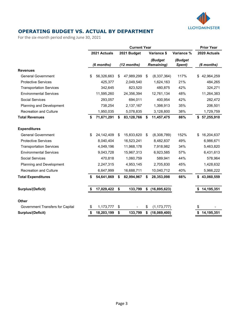

### OPERATING BUDGET VS. ACTUAL BY DEPARTMENT

For the six-month period ending June 30, 2021

|                                  | <b>Current Year</b> |              |    |             |    | <b>Prior Year</b>            |                   |                  |
|----------------------------------|---------------------|--------------|----|-------------|----|------------------------------|-------------------|------------------|
|                                  |                     | 2021 Actuals |    | 2021 Budget |    | Variance \$                  | Variance %        | 2020 Actuals     |
|                                  |                     | (6 months)   |    | (12 months) |    | (Budget<br><b>Remaining)</b> | (Budget<br>Spent) | (6 months)       |
| <b>Revenues</b>                  |                     |              |    |             |    |                              |                   |                  |
| <b>General Government</b>        | \$                  | 56,326,663   | \$ | 47,989,299  | \$ | (8,337,364)                  | 117%              | 42,964,259<br>\$ |
| <b>Protective Services</b>       |                     | 425,377      |    | 2,049,540   |    | 1,624,163                    | 21%               | 484,265          |
| <b>Transportation Services</b>   |                     | 342,645      |    | 823,520     |    | 480,875                      | 42%               | 324,271          |
| <b>Environmental Services</b>    |                     | 11,595,260   |    | 24,356,394  |    | 12,761,134                   | 48%               | 11,264,383       |
| Social Services                  |                     | 293,057      |    | 694,011     |    | 400,954                      | 42%               | 282,472          |
| Planning and Development         |                     | 738,254      |    | 2,137,167   |    | 1,398,913                    | 35%               | 206,501          |
| <b>Recreation and Culture</b>    |                     | 1,950,035    |    | 5,078,835   |    | 3,128,800                    | 38%               | 1,729,759        |
| <b>Total Revenues</b>            | \$                  | 71,671,291   | \$ | 83,128,766  | \$ | 11,457,475                   | 86%               | \$57,255,910     |
| <b>Expenditures</b>              |                     |              |    |             |    |                              |                   |                  |
| <b>General Government</b>        | \$                  | 24,142,409   | \$ | 15,833,620  | \$ | (8,308,789)                  | 152%              | 16,204,637<br>\$ |
| <b>Protective Services</b>       |                     | 8,040,404    |    | 16,523,241  |    | 8,482,837                    | 49%               | 6,986,671        |
| <b>Transportation Services</b>   |                     | 4,049,196    |    | 11,968,178  |    | 7,918,982                    | 34%               | 5,463,820        |
| <b>Environmental Services</b>    |                     | 9,043,728    |    | 15,967,313  |    | 6,923,585                    | 57%               | 6,431,613        |
| <b>Social Services</b>           |                     | 470,818      |    | 1,060,759   |    | 589,941                      | 44%               | 578,964          |
| Planning and Development         |                     | 2,247,315    |    | 4,953,145   |    | 2,705,830                    | 45%               | 1,428,632        |
| <b>Recreation and Culture</b>    |                     | 6,647,999    |    | 16,688,711  |    | 10,040,712                   | 40%               | 5,966,222        |
| <b>Total Expenditures</b>        | \$                  | 54,641,869   | \$ | 82,994,967  | S  | 28,353,098                   | 66%               | 43,060,559<br>\$ |
| <b>Surplus/(Deficit)</b>         | S                   | 17,029,422   | \$ | 133,799     | \$ | (16, 895, 623)               |                   | 14,195,351       |
| <b>Other</b>                     |                     |              |    |             |    |                              |                   |                  |
| Government Transfers for Capital | \$                  | 1,173,777    | \$ |             | \$ | (1, 173, 777)                |                   | \$               |
| <b>Surplus/(Deficit)</b>         | \$                  | 18,203,199   | \$ | 133,799     | \$ | (18,069,400)                 |                   | 14,195,351<br>\$ |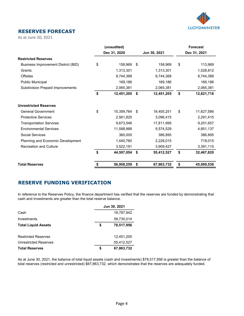

### RESERVES FORECAST

As at June 30, 2021

|                                            | (unaudited)      |                  | <b>Forecast</b>  |
|--------------------------------------------|------------------|------------------|------------------|
|                                            | Dec 31, 2020     | Jun 30, 2021     | Dec 31, 2021     |
| <b>Restricted Reserves</b>                 |                  |                  |                  |
| <b>Business Improvement District (BID)</b> | \$<br>158,969    | \$<br>158,969    | \$<br>113,969    |
| Grants                                     | 1,313,301        | 1,313,301        | 1,528,812        |
| <b>Offsites</b>                            | 8,744,368        | 8,744,368        | 8,744,368        |
| <b>Public Municipal</b>                    | 169,186          | 169,186          | 169,186          |
| <b>Subdivision Prepaid Improvements</b>    | 2,065,381        | 2,065,381        | 2,065,381        |
|                                            | \$<br>12,451,205 | \$<br>12,451,205 | \$<br>12,621,716 |
| <b>Unrestricted Reserves</b>               |                  |                  |                  |
| <b>General Government</b>                  | \$<br>15,359,764 | \$<br>18,405,251 | \$<br>11,627,586 |
| <b>Protective Services</b>                 | 2,561,825        | 3,096,415        | 2,291,415        |
| <b>Transportation Services</b>             | 9,673,546        | 17,811,995       | 9,201,657        |
| <b>Environmental Services</b>              | 11,588,968       | 9,574,529        | 4,851,137        |
| Social Services                            | 360,000          | 386,895          | 386,895          |
| Planning and Economic Development          | 1,440,760        | 2,228,015        | 718,015          |
| <b>Recreation and Culture</b>              | 3,522,191        | 3,909,427        | 3,391,115        |
|                                            | \$<br>44,507,054 | \$<br>55,412,527 | \$<br>32,467,820 |
| <b>Total Reserves</b>                      | \$<br>56,958,259 | \$<br>67,863,732 | \$<br>45,089,536 |

#### RESERVE FUNDING VERIFICATION

In reference to the Reserves Policy, the finance department has verified that the reserves are funded by demonstrating that cash and investments are greater than the total reserve balance.

|                              | Jun 30, 2021 |            |  |  |  |
|------------------------------|--------------|------------|--|--|--|
| Cash                         |              | 18,787,942 |  |  |  |
| Investments                  |              | 59,730,014 |  |  |  |
| <b>Total Liquid Assets</b>   | \$           | 78,517,956 |  |  |  |
|                              |              |            |  |  |  |
| <b>Restricted Reserves</b>   |              | 12,451,205 |  |  |  |
| <b>Unrestricted Reserves</b> |              | 55,412,527 |  |  |  |
| <b>Total Reserves</b>        | \$           | 67,863,732 |  |  |  |

As at June 30, 2021, the balance of total liquid assets (cash and investments) \$78,517,956 is greater than the balance of total reserves (restricted and unrestricted) \$67,863,732, which demonstrates that the reserves are adequately funded.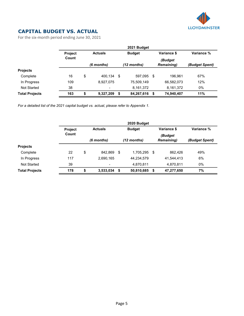

## CAPITAL BUDGET VS. ACTUAL

For the six-month period ending June 30, 2021

|                       | 2021 Budget    |    |                          |      |               |      |                              |                |  |  |  |
|-----------------------|----------------|----|--------------------------|------|---------------|------|------------------------------|----------------|--|--|--|
|                       | <b>Project</b> |    | <b>Actuals</b>           |      | <b>Budget</b> |      | Variance \$                  | Variance %     |  |  |  |
|                       | Count          |    | (6 months)               |      | (12 months)   |      | (Budget<br><b>Remaining)</b> | (Budget Spent) |  |  |  |
| <b>Projects</b>       |                |    |                          |      |               |      |                              |                |  |  |  |
| Complete              | 16             | \$ | 400.134                  | - \$ | 597,095       | -\$  | 196.961                      | 67%            |  |  |  |
| In Progress           | 109            |    | 8,927,075                |      | 75,509,149    |      | 66,582,073                   | 12%            |  |  |  |
| Not Started           | 38             |    | $\overline{\phantom{a}}$ |      | 8,161,372     |      | 8,161,372                    | 0%             |  |  |  |
| <b>Total Projects</b> | 163            | \$ | 9,327,209                | \$   | 84,267,616    | - \$ | 74,940,407                   | 11%            |  |  |  |

For a detailed list of the 2021 capital budget vs. actual, please refer to Appendix 1.

|                       | 2020 Budget             |    |                                                |     |               |            |                              |                |  |  |  |  |
|-----------------------|-------------------------|----|------------------------------------------------|-----|---------------|------------|------------------------------|----------------|--|--|--|--|
|                       | <b>Project</b><br>Count |    | Variance \$<br><b>Budget</b><br><b>Actuals</b> |     |               | Variance % |                              |                |  |  |  |  |
|                       |                         |    | (6 months)                                     |     | $(12$ months) |            | (Budget<br><b>Remaining)</b> | (Budget Spent) |  |  |  |  |
| <b>Projects</b>       |                         |    |                                                |     |               |            |                              |                |  |  |  |  |
| Complete              | 22                      | \$ | 842.869                                        | -\$ | 1,705,295     | - \$       | 862.426                      | 49%            |  |  |  |  |
| In Progress           | 117                     |    | 2,690,165                                      |     | 44,234,579    |            | 41,544,413                   | 6%             |  |  |  |  |
| Not Started           | 39                      |    | $\blacksquare$                                 |     | 4,870,811     |            | 4,870,811                    | 0%             |  |  |  |  |
| <b>Total Projects</b> | 178                     | \$ | 3,533,034                                      | \$  | 50,810,685    | - \$       | 47,277,650                   | 7%             |  |  |  |  |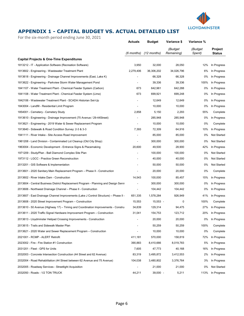

## APPENDIX 1 - CAPITAL BUDGET VS. ACTUAL DETAILED LIST

For the six-month period ending June 30, 2021

|                                                                                      | <b>Actuals</b>           | <b>Budget</b> | Variance \$           | Variance %        |                          |
|--------------------------------------------------------------------------------------|--------------------------|---------------|-----------------------|-------------------|--------------------------|
|                                                                                      | (6 months)               | $(12$ months) | (Budget<br>Remaining) | (Budget<br>Spent) | Project<br><b>Status</b> |
| <b>Capital Projects &amp; One-Time Expenditures</b>                                  |                          |               |                       |                   |                          |
| 1813212 - IT - Application Software (Recreation Software)                            | 3,950                    | 32,000        | 28,050                | 12%               | In Progress              |
| 1813602 - Engineering - Wastewater Treatment Plant                                   | 2,279,406                | 36,306,202    | 34,026,796            | 6%                | In Progress              |
| 1813618 - Engineering - Drainage Channel Improvements (East, Lake K)                 |                          | 66,328        | 66,328                | 0%                | In Progress              |
| 1813622 - Engineering - Parkview Storm Water Management Pond                         |                          | 39,336        | 39,336                | 100%              | In Progress              |
| 1841107 - Water Treatment Plant - Chemical Feeder System (Carbon)                    | 673                      | 642,961       | 642,288               | 0%                | In Progress              |
| 1841108 - Water Treatment Plant - Chemical Feeder System (Lime)                      | 673                      | 699,921       | 699,248               | 0%                | In Progress              |
| 1842106 - Wastewater Treatment Plant - SCADA Historian Set-Up                        |                          | 12,649        | 12,649                | 0%                | In Progress              |
| 1843004 - Landfill - Residential Limit Program                                       |                          | 10,000        | 10,000                | 0%                | In Progress              |
| 1854001 - Cemetery - Cemetery Study                                                  | 2,858                    | 5,150         | 2,293                 | 55%               | Complete                 |
| 1913610 - Engineering - Drainage Improvement (75 Avenue / 29-44 Street)              |                          | 285,948       | 285,948               | 0%                | In Progress              |
| 1913621 - Engineering - 2019 Water & Sewer Replacement Program                       |                          | 10,000        | 10,000                | 0%                | Complete                 |
| 1913640 - Sidewalk & Road Condition Survey: 2-3 & 3-3                                | 7,393                    | 72,309        | 64,916                | 10%               | In Progress              |
| 1941111 - River Intake - Site Access Road Improvement                                |                          | 85,000        | 85,000                | 0%                | Not Started              |
| 1961208 - Land Division - Contaminated Lot Cleanup (Old City Shop)                   | $\overline{\phantom{a}}$ | 300,000       | 300,000               | 0%                | Not Started              |
| 1963004 - Economic Development - Entrance Signs & Placemaking                        | 20,600                   | 49,500        | 28,900                | 42%               | In Progress              |
| 1971209 - Study/Plan - Ball Diamond Complex Site Plan                                |                          | 100,000       | 100,000               | $0\%$             | Not Started              |
| 1973112 - LGCC - Practice Green Reconstruction                                       |                          | 40,000        | 40,000                | 0%                | Not Started              |
| 2013201 - GIS Software & Implementation                                              |                          | 50,000        | 50,000                | 0%                | Not Started              |
| 2013601 - 2020 Sanitary Main Replacement Program - Phase II - Construction           |                          | 20,000        | 20,000                | 0%                | Complete                 |
| 2013602 - River Intake Dam - Construction                                            | 14,543                   | 100,000       | 85,457                | 15%               | In Progress              |
| 2013604 - Central Business District Replacement Program - Planning and Design Servi  |                          | 300,000       | 300,000               | 0%                | In Progress              |
| 2013606 - Northwest Drainage Channel - Phase II - Construction                       | $\overline{\phantom{a}}$ | 104,442       | 104,442               | 0%                | In Progress              |
| 2013607 - East Drainage Channel Improvements (Lake J Control Structure) - Phase II - | 651,335                  | 1,578,284     | 926,949               | 41%               | In Progress              |
| 2013608 - 2020 Street Improvement Program - Construction                             | 15,553                   | $15,553 -$    | 0                     | 100%              | Complete                 |
| 2013610 - 50 Avenue (Highway 17) – Timing and Coordination Improvements - Construe   | 34,839                   | 129,314       | 94,475                | 27%               | In Progress              |
| 2013611 - 2020 Traffic Signal Hardware Improvement Program – Construction            | 31,041                   | 154,753       | 123,712               | 20%               | In Progress              |
| 2013613 - Lloydminster Helipad Crossing Improvements - Construction                  |                          | 20,000        | 20,000                | 0%                | In Progress              |
| 2013615 - Trails and Sidewalk Master Plan                                            |                          | 50,259        | 50,259                | 100%              | Complete                 |
| 2013621 - 2020 Water and Sewer Replacement Program – Construction                    |                          | 10,000        | 10,000                | 0%                | Complete                 |
| 2021001 - RCMP - ALERT Retrofit                                                      | 411,181                  | 570,000       | 158,819               | 72%               | In Progress              |
| 2023002 - Fire - Fire Station #1 Construction                                        | 390,883                  | 8,410,666     | 8,019,783             | 5%                | In Progress              |
| 2031201 - Fleet - GPS for Units                                                      | 7,605                    | 47,773        | 40,168                | 16%               | In Progress              |
| 2032003 - Concrete Intersection Construction (44 Street and 62 Avenue)               | 83,319                   | 3,495,872     | 3,412,553             | 2%                | In Progress              |
| 2032004 - Road Rehabilitation (44 Street between 62 Avenue and 75 Avenue)            | 104,038                  | 3,480,802     | 3,376,764             | 3%                | In Progress              |
| 2032005 - Roadway Services - Streetlight Acquisition                                 |                          | 21,000        | 21,000                | 0%                | Not Started              |
| 2032050 - Roads - 1/2 TON TRUCK                                                      | 44,211                   | $39,000 -$    | 5,211                 | 113%              | In Progress              |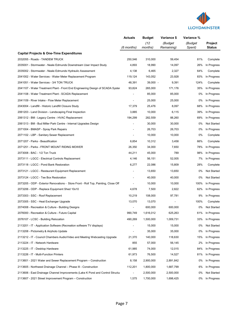

|                                                                                    | <b>Actuals</b>           | <b>Budget</b>   | Variance \$           | Variance %        |                          |
|------------------------------------------------------------------------------------|--------------------------|-----------------|-----------------------|-------------------|--------------------------|
|                                                                                    | (6 months)               | (12)<br>months) | (Budget<br>Remaining) | (Budget<br>Spent) | <b>Project</b><br>Status |
| <b>Capital Projects &amp; One-Time Expenditures</b>                                |                          |                 |                       |                   |                          |
| 2032055 - Roads - TANDEM TRUCK                                                     | 250,546                  | 310,000         | 59,454                | 81%               | Complete                 |
| 2035001 - Stormwater - Neale Edmunds Downstream User Impact Study                  | 4,893                    | 18,990          | 14,097                | 26%               | In Progress              |
| 2035002 - Stormwater - Neale Edmunds Hydraulic Assessment                          | 4,138                    | 6,465           | 2,327                 | 64%               | Complete                 |
| 2041002 - Water Services - Water Meter Replacement Program                         | 119.124                  | 143,052         | 23.928                | 83%               | In Progress              |
| 2041051 - Water Services - 3/4 TON TRUCK                                           | 48,391                   | 39,000 -        | 9,391                 | 124%              | Complete                 |
| 2041107 - Water Treatment Plant - Front End Engineering Design of SCADA Syster     | 93,824                   | 265,000         | 171,176               | 35%               | In Progress              |
| 2041108 - Water Treatment Plant - SCADA Replacement                                | $\overline{\phantom{a}}$ | 85,000          | 85,000                | 0%                | In Progress              |
| 2041109 - River Intake - Flow Meter Replacement                                    | $\overline{\phantom{a}}$ | 25,000          | 25,000                | 0%                | In Progress              |
| 2043004 - Landfill - Historic Landfill Closure Study                               | 17,379                   | 25,476          | 8,097                 | 68%               | In Progress              |
| 2061203 - Land Division - Landscaping Final Inspection                             | 3,885                    | 10,000          | 6,115                 | 39%               | In Progress              |
| 2061312 - BM - Legacy Centre - HVAC Replacement                                    | 194,299                  | 282,559         | 88,260                | 69%               | In Progress              |
| 2061313 - BM - Bud Miller Park Centre - Internal Upgrades Design                   | $\overline{\phantom{a}}$ | 30,000          | 30,000                | 0%                | <b>Not Started</b>       |
| 2071004 - BMASP - Spray Park Repairs                                               |                          | 26,703          | 26,703                | 0%                | In Progress              |
| 2071102 - LBP - Sanitary Sewer Replacement                                         |                          | 10,000          | 10,000                | 0%                | Complete                 |
| 2071207 - Parks - Beautification                                                   | 6,854                    | 10,312          | 3,458                 | 66%               | Complete                 |
| 2071251 - Parks - FRONT MOUNT RIDING MOWER                                         | 26,350                   | 34,000          | 7,650                 | 78%               | In Progress              |
| 2073008 - BAC - 1/2 Ton Truck                                                      | 44,211                   | 45,000          | 789                   | 98%               | In Progress              |
| 2073111 - LGCC - Electrical Controls Replacement                                   | 4,146                    | 56,151          | 52,005                | 7%                | In Progress              |
| 2073118 - LGCC - Pond Bank Restoration                                             | 6,277                    | 22,086          | 15,809                | 28%               | Complete                 |
| 2073121 - LGCC - Restaurant Equipment Replacement                                  |                          | 13,650          | 13,650                | 0%                | <b>Not Started</b>       |
| 2073124 - LGCC - Tee Box Restoration                                               |                          | 40,000          | 40,000                | 0%                | <b>Not Started</b>       |
| 2073205 - ODP - Exterior Renovations - Store Front - Roll Top, Painting, Close Off |                          | 10,000          | 10,000                | 100%              | In Progress              |
| 2073206 - ODP - Replace Equipment Shed 10x10                                       | 4,678                    | 7,500           | 2,822                 | 62%               | In Progress              |
| 2073303 - SSC - Roof Replacement                                                   | 10,219                   | 108,000         | 97,781                | 9%                | In Progress              |
| 2073305 - SSC - Heat Exchanger Upgrade                                             | 13,070                   | 13,070          |                       | 100%              | Complete                 |
| 2074008 - Recreation & Culture - Building Designs                                  |                          | 600,000         | 600,000               | 0%                | <b>Not Started</b>       |
| 2076000 - Recreation & Culture - Future Capital                                    | 990,749                  | 1,616,012       | 625,263               | 61%               | In Progress              |
| 2076107 - LCSC - Building Relocation                                               | 490,269                  | 1,500,000       | 1,009,731             | 33%               | In Progress              |
| 2113201 - IT - Application Software (Recreation software TV displays)              |                          | 15,000          | 15,000                | 0%                | Not Started              |
| 2113208 - Pictometry & Airphoto Update                                             | $\overline{\phantom{a}}$ | 35,000          | 35,000                | 0%                | In Progress              |
| 2113212 - IT - Council Chambers Audio/Video and Meeting Webcasting Upgrade         | 21,370                   | 140,000         | 118,630               | 15%               | In Progress              |
| 2113224 - IT - Network Hardware                                                    | 855                      | 57,000          | 56,145                | 2%                | In Progress              |
| 2113225 - IT - Desktop Hardware                                                    | 61,985                   | 74,000          | 12,015                | 84%               | In Progress              |
| 2113226 - IT - Multi-Function Printers                                             | 61,973                   | 76,500          | 14,527                | 81%               | In Progress              |
| 2113601 - 2021 Water and Sewer Replacement Program – Construction                  | 8,158                    | 2,900,000       | 2,891,842             | 0%                | In Progress              |
| 2113605 - Northwest Drainage Channel - Phase III - Construction                    | 112,201                  | 1,800,000       | 1,687,799             | 6%                | In Progress              |
| 2113606 - East Drainage Channel Improvements (Lake K Pond and Control Structu      |                          | 2,500,000       | 2,500,000             | 0%                | Not Started              |
| 2113607 - 2021 Street Improvement Program - Construction                           | 1,575                    | 1,700,000       | 1,698,425             | 0%                | In Progress              |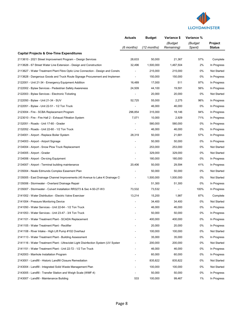

|                                                                                    | <b>Actuals</b>           | <b>Budget</b> | Variance \$           | Variance %        |                          |
|------------------------------------------------------------------------------------|--------------------------|---------------|-----------------------|-------------------|--------------------------|
|                                                                                    | (6 months)               | (12 months)   | (Budget<br>Remaining) | (Budget<br>Spent) | Project<br><b>Status</b> |
| <b>Capital Projects &amp; One-Time Expenditures</b>                                |                          |               |                       |                   |                          |
| 2113610 - 2021 Street Improvement Program - Design Services                        | 28,633                   | 50,000        | 21,367                | 57%               | Complete                 |
| 2113626 - 67 Street Water Line Extension - Design and Construction                 | 32,496                   | 1,500,000     | 1,467,504             | 2%                | In Progress              |
| 2113627 - Water Treatment Plant Fibre Optic Line Connection - Design and Constru   | $\blacksquare$           | 215,000       | 215,000               | 0%                | Not Started              |
| 2113628 - Dangerous Goods and Truck Route Signage Procurement and Implemen         |                          | 150,000       | 150,000               | 0%                | In Progress              |
| 2122001 - Unit 21-34 - Emergency Equipment Addition                                | 16,489                   | 17,000        | 511                   | 97%               | In Progress              |
| 2122002 - Bylaw Services - Pedestrian Safety Awareness                             | 24,509                   | 44,100        | 19,591                | 56%               | In Progress              |
| 2122003 - Bylaw Services - Electronic Ticketing                                    |                          | 20,000        | 20,000                | 0%                | Not Started              |
| 2122050 - Bylaw - Unit 21-34 - SUV                                                 | 52,725                   | 55,000        | 2,275                 | 96%               | In Progress              |
| 2122051 - Bylaw - Unit 22-51 - 1/2 Ton Truck                                       |                          | 46,000        | 46,000                | 0%                | In Progress              |
| 2123004 - Fire - SCBA Replacement Program                                          | 296,854                  | 315,000       | 18,146                | 94%               | In Progress              |
| 2123010 - Fire - Fire Hall 2 - Exhaust Filtration System                           | 7,071                    | 10,000        | 2,929                 | 71%               | In Progress              |
| 2132051 - Roads - Unit 17-60 - Grader                                              | $\overline{\phantom{0}}$ | 580,000       | 580,000               | 0%                | In Progress              |
| 2132052 - Roads - Unit 22-60 - 1/2 Ton Truck                                       |                          | 46,000        | 46,000                | 0%                | In Progress              |
| 2134001 - Airport - Replace Boiler System                                          | 28,319                   | 50,000        | 21,681                | 57%               | In Progress              |
| 2134003 - Airport - Airport Signage                                                |                          | 50,000        | 50,000                | 0%                | In Progress              |
| 2134004 - Airport - Snow Plow Truck Replacement                                    |                          | 253,000       | 253,000               | 0%                | Not Started              |
| 2134005 - Airport - Grader                                                         |                          | 329,000       | 329,000               | 0%                | <b>Not Started</b>       |
| 2134006 - Airport - De-icing Equipment                                             |                          | 180,000       | 180,000               | 0%                | In Progress              |
| 2134007 - Airport - Terminal building maintenance                                  | 20,406                   | 50,000        | 29,594                | 41%               | In Progress              |
| 2135004 - Neale Edmunds Complex Easement Plan                                      |                          | 50,000        | 50,000                | 0%                | Not Started              |
| 2135005 - East Drainage Channel Improvements (40 Avenue to Lake K Drainage C       |                          | 1,500,000     | 1,500,000             | 0%                | Not Started              |
| 2135006 - Stormwater - Overland Drainage Repair                                    |                          | 51,300        | 51,300                | 0%                | In Progress              |
| 2135007 - Stormwater - Culvert Installation RR3273 & Sec 4-50-27-W3                | 73,532                   | 73,532        |                       | 100%              | In Progress              |
| 2141002 - Water Distribution - Electric Valve Exerciser                            | 13,214                   | 15,200        | 1,987                 | 87%               | Complete                 |
| 2141004 - Pressure Monitoring Device                                               |                          | 34,400        | 34,400                | 0%                | Not Started              |
| 2141050 - Water Services - Unit 22-64 - 1/2 Ton Truck                              |                          | 46,000        | 46,000                | 0%                | In Progress              |
| 2141053 - Water Services - Unit 23-47 - 3/4 Ton Truck                              |                          | 50,000        | 50,000                | 0%                | In Progress              |
| 2141101 - Water Treatment Plant - SCADA Replacement                                |                          | 400,000       | 400,000               | 0%                | In Progress              |
| 2141105 - Water Treatment Plant - Rectifier                                        |                          | 20,000        | 20,000                | 0%                | In Progress              |
| 2141108 - River Intake - High Lift Pump #102 Overhaul                              |                          | 100,000       | 100,000               | 0%                | Not Started              |
| 2141113 - Water Treatment Plant - Building Assessment                              |                          | 35,000        | 35,000                | 0%                | In Progress              |
| 2141116 - Water Treatment Plant - Ultraviolet Light Disinfection System (UV System |                          | 200,000       | 200,000               | 0%                | Not Started              |
| 2141151 - Water Treatment Plant - Unit 22-72 - 1/2 Ton Truck                       |                          | 46,000        | 46,000                | 0%                | In Progress              |
| 2142003 - Manhole Installation Program                                             |                          | 60,000        | 60,000                | 0%                | In Progress              |
| 2143001 - Landfill - Historic Landfill Closure Remediation                         |                          | 835,822       | 835,822               | 0%                | Not Started              |
| 2143004 - Landfill - Integrated Solid Waste Management Plan                        |                          | 100,000       | 100,000               | 0%                | <b>Not Started</b>       |
| 2143005 - Landfill - Transfer Station and Weigh Scale (WMF-4)                      |                          | 50,000        | 50,000                | 0%                | In Progress              |
| 2143007 - Landfill - Maintenance Building                                          | 533                      | 100,000       | 99,467                | 1%                | In Progress              |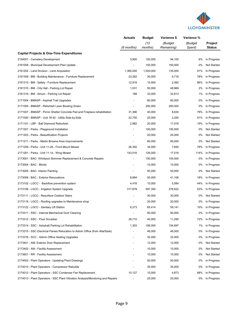

|                                                                                 | <b>Actuals</b>           | <b>Budget</b>   | Variance \$           | Variance %        |                                 |
|---------------------------------------------------------------------------------|--------------------------|-----------------|-----------------------|-------------------|---------------------------------|
|                                                                                 | (6 months)               | (12)<br>months) | (Budget<br>Remaining) | (Budget<br>Spent) | <b>Project</b><br><b>Status</b> |
| <b>Capital Projects &amp; One-Time Expenditures</b>                             |                          |                 |                       |                   |                                 |
| 2154001 - Cemetery Development                                                  | 5,900                    | 100,000         | 94,100                | 6%                | In Progress                     |
| 2161008 - Municipal Development Plan Update                                     |                          | 150,000         | 150,000               | 0%                | Not Started                     |
| 2161202 - Land Division - Land Acquisition                                      | 1,365,000                | 1,500,000       | 135,000               | 91%               | In Progress                     |
| 2161309 - BM - Building Maintenance - Furniture Replacement                     | 23,282                   | 30,000          | 6,718                 | 78%               | In Progress                     |
| 2161310 - BM - Safety - Furniture Replacement                                   | 12,918                   | 15,000          | 2,082                 | 86%               | In Progress                     |
| 2161315 - BM - City Hall - Parking Lot Repair                                   | 1,031                    | 50,000          | 48,969                | 2%                | In Progress                     |
| 2161316 - BM - Atrium - Parking Lot Repair                                      | 188                      | 33,000          | 32,813                | 1%                | In Progress                     |
| 2171004 - BMASP - Asphalt Trail Upgrades                                        |                          | 80,000          | 80,000                | 0%                | In Progress                     |
| 2171005 - BMASP - Refurbish Lawn Bowling Green                                  |                          | 200,000         | 200,000               | 0%                | In Progress                     |
| 2171007 - BMASP - Picnic Shelter Concrete Pad and Fireplace rehabilitation      | 31,366                   | 40,000          | 8,634                 | 78%               | In Progress                     |
| 2171050 - BMASP - Unit 18-42 - Utility Side-by-Side                             | 22,750                   | 25,000          | 2,250                 | 91%               | In Progress                     |
| 2171101 - LBP - Ball Diamond Reburbish                                          | 2,982                    | 20,000          | 17,018                | 15%               | In Progress                     |
| 2171201 - Parks - Playground Installation                                       |                          | 100,000         | 100,000               | 0%                | Not Started                     |
| 2171203 - Parks - Beautification Projects                                       |                          | 20,000          | 20,000                | 0%                | Not Started                     |
| 2171211 - Parks - Martin Browne Area Improvements                               |                          | 80,000          | 80,000                | 0%                | Not Started                     |
| 2171259 - Parks - Unit 11-26 - Front Mount Mower                                | 26,350                   | 34,000          | 7,650                 | 78%               | In Progress                     |
| 2171261 - Parks - Unit 11-14 - Wing Mower                                       | 143,016                  | 126,000 -       | 17,016                | 114%              | In Progress                     |
| 2173001 - BAC- Whirlpool Skimmer Replacement & Concrete Repairs                 |                          | 100,000         | 100,000               | 0%                | In Progress                     |
| 2173004 - BAC - Blinds                                                          | $\overline{a}$           | 10,000          | 10,000                | 0%                | In Progress                     |
| 2173005 - BAC- Interior Painting                                                | -                        | 50,000          | 50,000                | 0%                | Not Started                     |
| 2173006 - BAC - Exterior Renovations                                            | 8,894                    | 50,000          | 41,106                | 18%               | In Progress                     |
| 2173102 - LGCC - Backflow prevention system                                     | 4,416                    | 10,000          | 5,584                 | 44%               | In Progress                     |
| 2173106 - LGCC - Irrigation System Upgrade                                      | 317,678                  | 597,300         | 279,622               | 53%               | In Progress                     |
| 2173111 - LGCC - Resurface Outdoor Stairs                                       | $\overline{\phantom{a}}$ | 30.000          | 30,000                | 0%                | Not Started                     |
| 2173116 - LGCC - Roofing upgrades to Maintenance shop                           |                          | 20,000          | 20,000                | 0%                | In Progress                     |
| 2173122 - LGCC - Sanitary Lift Station                                          | 6,273                    | 65,414          | 59,141                | 10%               | In Progress                     |
| 2173311 - SSC - Internal Mechanical Duct Cleaning                               |                          | 90.000          | 90,000                | 0%                | In Progress                     |
| 2173312 - SSC - Floor Scrubber                                                  | 28,710                   | 40,000          | 11,290                | 72%               | In Progress                     |
| 2173314 - SSC - Ashphalt Parking Lot Rehabilitation                             | 1,303                    | 156,000         | 154,697               | 1%                | In Progress                     |
| 2173315 - SSC Electrical Panels Relocation to Admin Office (from Alta/Sask)     |                          | 46,000          | 46,000                | 0%                | In Progress                     |
| 2173316 - SCC - Admin Office Heating Upgrades                                   |                          | 32,000          | 32,000                | 0%                | In Progress                     |
| 2173401 - AM- Exterior Door Replacement                                         |                          | 12,000          | 12,000                | 0%                | Not Started                     |
| 2173402 - AM - Facility Assessment                                              |                          | 10,000          | 10,000                | 0%                | Not Started                     |
| 2173601 - RR - Facility Assessment                                              |                          | 10,000          | 10,000                | 0%                | Not Started                     |
| 2174002 - Plant Operators - Updating Plant Drawings                             |                          | 50,000          | 50,000                | 0%                | In Progress                     |
| 2174010 - Plant Operators - Compressor Rebuilds                                 |                          | 35,000          | 35,000                | 0%                | In Progress                     |
| 2174012 - Plant Operators - SSC Condenser Fan Replacement                       | 10,127                   | 15,000          | 4,873                 | 68%               | In Progress                     |
| 2174013 - Plant Operators - SSC Plant Vibration Analysis/Monitoring and Repairs | $\overline{\phantom{a}}$ | 25,000          | 25,000                | 0%                | In Progress                     |